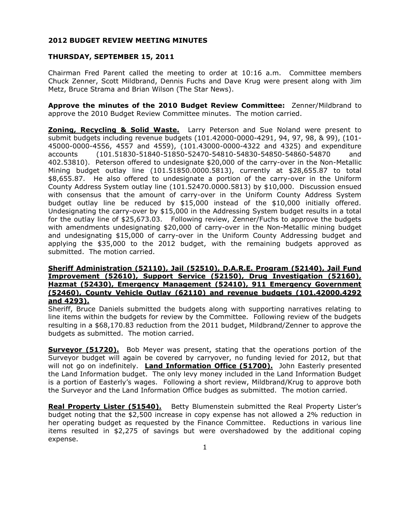## **2012 BUDGET REVIEW MEETING MINUTES**

## **THURSDAY, SEPTEMBER 15, 2011**

Chairman Fred Parent called the meeting to order at 10:16 a.m. Committee members Chuck Zenner, Scott Mildbrand, Dennis Fuchs and Dave Krug were present along with Jim Metz, Bruce Strama and Brian Wilson (The Star News).

**Approve the minutes of the 2010 Budget Review Committee:** Zenner/Mildbrand to approve the 2010 Budget Review Committee minutes. The motion carried.

**Zoning, Recycling & Solid Waste.** Larry Peterson and Sue Noland were present to submit budgets including revenue budgets (101.42000-0000-4291, 94, 97, 98, & 99), (101- 45000-0000-4556, 4557 and 4559), (101.43000-0000-4322 and 4325) and expenditure accounts (101.51830-51840-51850-52470-54810-54830-54850-54860-54870 and 402.53810). Peterson offered to undesignate \$20,000 of the carry-over in the Non-Metallic Mining budget outlay line (101.51850.0000.5813), currently at \$28,655.87 to total \$8,655.87. He also offered to undesignate a portion of the carry-over in the Uniform County Address System outlay line (101.52470.0000.5813) by \$10,000. Discussion ensued with consensus that the amount of carry-over in the Uniform County Address System budget outlay line be reduced by \$15,000 instead of the \$10,000 initially offered. Undesignating the carry-over by \$15,000 in the Addressing System budget results in a total for the outlay line of \$25,673.03. Following review, Zenner/Fuchs to approve the budgets with amendments undesignating \$20,000 of carry-over in the Non-Metallic mining budget and undesignating \$15,000 of carry-over in the Uniform County Addressing budget and applying the \$35,000 to the 2012 budget, with the remaining budgets approved as submitted. The motion carried.

## **Sheriff Administration (52110), Jail (52510), D.A.R.E. Program (52140), Jail Fund Improvement (52610), Support Service (52150), Drug Investigation (52160), Hazmat (52430), Emergency Management (52410), 911 Emergency Government (52460), County Vehicle Outlay (62110) and revenue budgets (101.42000.4292 and 4293).**

Sheriff, Bruce Daniels submitted the budgets along with supporting narratives relating to line items within the budgets for review by the Committee. Following review of the budgets resulting in a \$68,170.83 reduction from the 2011 budget, Mildbrand/Zenner to approve the budgets as submitted. The motion carried.

**Surveyor (51720).** Bob Meyer was present, stating that the operations portion of the Surveyor budget will again be covered by carryover, no funding levied for 2012, but that will not go on indefinitely. **Land Information Office (51700).** John Easterly presented the Land Information budget. The only levy money included in the Land Information Budget is a portion of Easterly's wages. Following a short review, Mildbrand/Krug to approve both the Surveyor and the Land Information Office budges as submitted. The motion carried.

**Real Property Lister (51540).** Betty Blumenstein submitted the Real Property Lister's budget noting that the \$2,500 increase in copy expense has not allowed a 2% reduction in her operating budget as requested by the Finance Committee. Reductions in various line items resulted in \$2,275 of savings but were overshadowed by the additional coping expense.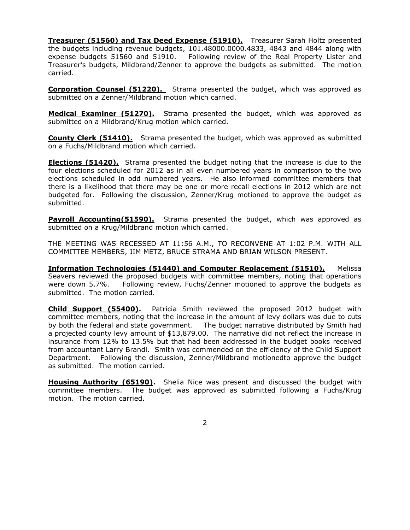**Treasurer (51560) and Tax Deed Expense (51910).** Treasurer Sarah Holtz presented the budgets including revenue budgets, 101.48000.0000.4833, 4843 and 4844 along with expense budgets 51560 and 51910. Following review of the Real Property Lister and Treasurer's budgets, Mildbrand/Zenner to approve the budgets as submitted. The motion carried.

**Corporation Counsel (51220).** Strama presented the budget, which was approved as submitted on a Zenner/Mildbrand motion which carried.

**Medical Examiner (51270).** Strama presented the budget, which was approved as submitted on a Mildbrand/Krug motion which carried.

**County Clerk (51410).** Strama presented the budget, which was approved as submitted on a Fuchs/Mildbrand motion which carried.

**Elections (51420).** Strama presented the budget noting that the increase is due to the four elections scheduled for 2012 as in all even numbered years in comparison to the two elections scheduled in odd numbered years. He also informed committee members that there is a likelihood that there may be one or more recall elections in 2012 which are not budgeted for. Following the discussion, Zenner/Krug motioned to approve the budget as submitted.

**Payroll Accounting(51590).** Strama presented the budget, which was approved as submitted on a Krug/Mildbrand motion which carried.

THE MEETING WAS RECESSED AT 11:56 A.M., TO RECONVENE AT 1:02 P.M. WITH ALL COMMITTEE MEMBERS, JIM METZ, BRUCE STRAMA AND BRIAN WILSON PRESENT.

**Information Technologies (51440) and Computer Replacement (51510).** Melissa Seavers reviewed the proposed budgets with committee members, noting that operations were down 5.7%. Following review, Fuchs/Zenner motioned to approve the budgets as submitted. The motion carried.

**Child Support (55400).** Patricia Smith reviewed the proposed 2012 budget with committee members, noting that the increase in the amount of levy dollars was due to cuts by both the federal and state government. The budget narrative distributed by Smith had a projected county levy amount of \$13,879.00. The narrative did not reflect the increase in insurance from 12% to 13.5% but that had been addressed in the budget books received from accountant Larry Brandl. Smith was commended on the efficiency of the Child Support Department. Following the discussion, Zenner/Mildbrand motionedto approve the budget as submitted. The motion carried.

**Housing Authority (65190).** Shelia Nice was present and discussed the budget with committee members. The budget was approved as submitted following a Fuchs/Krug motion. The motion carried.

2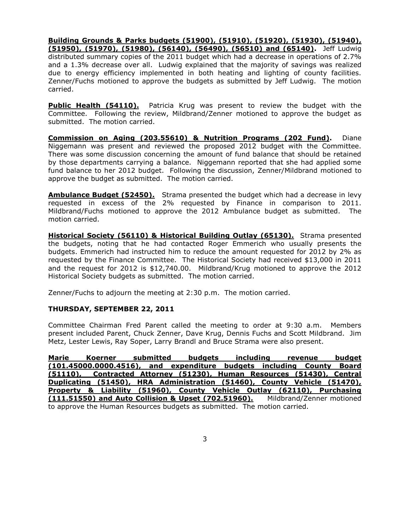**Building Grounds & Parks budgets (51900), (51910), (51920), (51930), (51940), (51950), (51970), (51980), (56140), (56490), (56510) and (65140).** Jeff Ludwig

distributed summary copies of the 2011 budget which had a decrease in operations of 2.7% and a 1.3% decrease over all. Ludwig explained that the majority of savings was realized due to energy efficiency implemented in both heating and lighting of county facilities. Zenner/Fuchs motioned to approve the budgets as submitted by Jeff Ludwig. The motion carried.

**Public Health (54110).** Patricia Krug was present to review the budget with the Committee. Following the review, Mildbrand/Zenner motioned to approve the budget as submitted. The motion carried.

**Commission on Aging (203.55610) & Nutrition Programs (202 Fund).** Diane Niggemann was present and reviewed the proposed 2012 budget with the Committee. There was some discussion concerning the amount of fund balance that should be retained by those departments carrying a balance. Niggemann reported that she had applied some fund balance to her 2012 budget. Following the discussion, Zenner/Mildbrand motioned to approve the budget as submitted. The motion carried.

**Ambulance Budget (52450).** Strama presented the budget which had a decrease in levy requested in excess of the 2% requested by Finance in comparison to 2011. Mildbrand/Fuchs motioned to approve the 2012 Ambulance budget as submitted. The motion carried.

**Historical Society (56110) & Historical Building Outlay (65130).** Strama presented the budgets, noting that he had contacted Roger Emmerich who usually presents the budgets. Emmerich had instructed him to reduce the amount requested for 2012 by 2% as requested by the Finance Committee. The Historical Society had received \$13,000 in 2011 and the request for 2012 is \$12,740.00. Mildbrand/Krug motioned to approve the 2012 Historical Society budgets as submitted. The motion carried.

Zenner/Fuchs to adjourn the meeting at 2:30 p.m. The motion carried.

# **THURSDAY, SEPTEMBER 22, 2011**

Committee Chairman Fred Parent called the meeting to order at 9:30 a.m. Members present included Parent, Chuck Zenner, Dave Krug, Dennis Fuchs and Scott Mildbrand. Jim Metz, Lester Lewis, Ray Soper, Larry Brandl and Bruce Strama were also present.

**Marie Koerner submitted budgets including revenue budget (101.45000.0000.4516), and expenditure budgets including County Board (51110), Contracted Attorney (51230), Human Resources (51430), Central Duplicating (51450), HRA Administration (51460), County Vehicle (51470), Property & Liability (51960), County Vehicle Outlay (62110), Purchasing (111.51550) and Auto Collision & Upset (702.51960).** Mildbrand/Zenner motioned to approve the Human Resources budgets as submitted. The motion carried.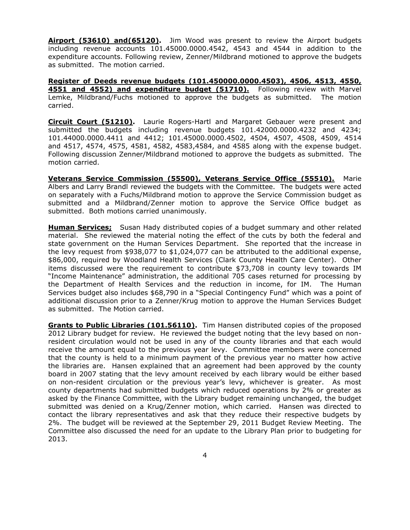**Airport (53610) and(65120).** Jim Wood was present to review the Airport budgets including revenue accounts 101.45000.0000.4542, 4543 and 4544 in addition to the expenditure accounts. Following review, Zenner/Mildbrand motioned to approve the budgets as submitted. The motion carried.

**Register of Deeds revenue budgets (101.450000.0000.4503), 4506, 4513, 4550, 4551 and 4552) and expenditure budget (51710).** Following review with Marvel Lemke, Mildbrand/Fuchs motioned to approve the budgets as submitted. The motion carried.

**Circuit Court (51210).** Laurie Rogers-Hartl and Margaret Gebauer were present and submitted the budgets including revenue budgets 101.42000.0000.4232 and 4234; 101.44000.0000.4411 and 4412; 101.45000.0000.4502, 4504, 4507, 4508, 4509, 4514 and 4517, 4574, 4575, 4581, 4582, 4583,4584, and 4585 along with the expense budget. Following discussion Zenner/Mildbrand motioned to approve the budgets as submitted. The motion carried.

**Veterans Service Commission (55500), Veterans Service Office (55510).** Marie Albers and Larry Brandl reviewed the budgets with the Committee. The budgets were acted on separately with a Fuchs/Mildbrand motion to approve the Service Commission budget as submitted and a Mildbrand/Zenner motion to approve the Service Office budget as submitted. Both motions carried unanimously.

**Human Services;** Susan Hady distributed copies of a budget summary and other related material. She reviewed the material noting the effect of the cuts by both the federal and state government on the Human Services Department. She reported that the increase in the levy request from \$938,077 to \$1,024,077 can be attributed to the additional expense, \$86,000, required by Woodland Health Services (Clark County Health Care Center). Other items discussed were the requirement to contribute \$73,708 in county levy towards IM "Income Maintenance" administration, the additional 705 cases returned for processing by the Department of Health Services and the reduction in income, for IM. The Human Services budget also includes \$68,790 in a "Special Contingency Fund" which was a point of additional discussion prior to a Zenner/Krug motion to approve the Human Services Budget as submitted. The Motion carried.

**Grants to Public Libraries (101.56110).** Tim Hansen distributed copies of the proposed 2012 Library budget for review. He reviewed the budget noting that the levy based on nonresident circulation would not be used in any of the county libraries and that each would receive the amount equal to the previous year levy. Committee members were concerned that the county is held to a minimum payment of the previous year no matter how active the libraries are. Hansen explained that an agreement had been approved by the county board in 2007 stating that the levy amount received by each library would be either based on non-resident circulation or the previous year's levy, whichever is greater. As most county departments had submitted budgets which reduced operations by 2% or greater as asked by the Finance Committee, with the Library budget remaining unchanged, the budget submitted was denied on a Krug/Zenner motion, which carried. Hansen was directed to contact the library representatives and ask that they reduce their respective budgets by 2%. The budget will be reviewed at the September 29, 2011 Budget Review Meeting. The Committee also discussed the need for an update to the Library Plan prior to budgeting for 2013.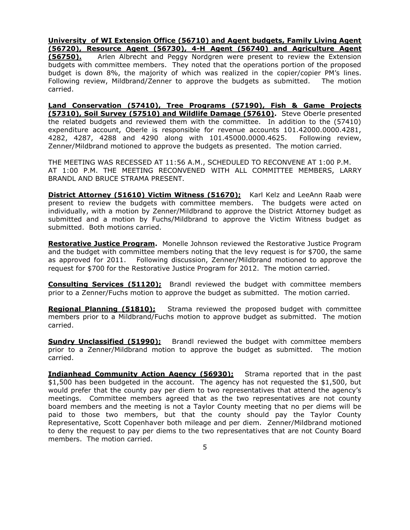**University of WI Extension Office (56710) and Agent budgets, Family Living Agent (56720), Resource Agent (56730), 4-H Agent (56740) and Agriculture Agent (56750).** Arlen Albrecht and Peggy Nordgren were present to review the Extension budgets with committee members. They noted that the operations portion of the proposed budget is down 8%, the majority of which was realized in the copier/copier PM's lines. Following review, Mildbrand/Zenner to approve the budgets as submitted. The motion carried.

**Land Conservation (57410), Tree Programs (57190), Fish & Game Projects (57310), Soil Survey (57510) and Wildlife Damage (57610).** Steve Oberle presented the related budgets and reviewed them with the committee. In addition to the (57410) expenditure account, Oberle is responsible for revenue accounts 101.42000.0000.4281, 4282, 4287, 4288 and 4290 along with 101.45000.0000.4625. Following review, Zenner/Mildbrand motioned to approve the budgets as presented. The motion carried.

THE MEETING WAS RECESSED AT 11:56 A.M., SCHEDULED TO RECONVENE AT 1:00 P.M. AT 1:00 P.M. THE MEETING RECONVENED WITH ALL COMMITTEE MEMBERS, LARRY BRANDL AND BRUCE STRAMA PRESENT.

**District Attorney (51610) Victim Witness (51670);** Karl Kelz and LeeAnn Raab were present to review the budgets with committee members. The budgets were acted on individually, with a motion by Zenner/Mildbrand to approve the District Attorney budget as submitted and a motion by Fuchs/Mildbrand to approve the Victim Witness budget as submitted. Both motions carried.

**Restorative Justice Program.** Monelle Johnson reviewed the Restorative Justice Program and the budget with committee members noting that the levy request is for \$700, the same as approved for 2011. Following discussion, Zenner/Mildbrand motioned to approve the request for \$700 for the Restorative Justice Program for 2012. The motion carried.

**Consulting Services (51120);** Brandl reviewed the budget with committee members prior to a Zenner/Fuchs motion to approve the budget as submitted. The motion carried.

**Regional Planning (51810);** Strama reviewed the proposed budget with committee members prior to a Mildbrand/Fuchs motion to approve budget as submitted. The motion carried.

**Sundry Unclassified (51990);** Brandl reviewed the budget with committee members prior to a Zenner/Mildbrand motion to approve the budget as submitted. The motion carried.

**Indianhead Community Action Agency (56930);** Strama reported that in the past \$1,500 has been budgeted in the account. The agency has not requested the \$1,500, but would prefer that the county pay per diem to two representatives that attend the agency's meetings. Committee members agreed that as the two representatives are not county board members and the meeting is not a Taylor County meeting that no per diems will be paid to those two members, but that the county should pay the Taylor County Representative, Scott Copenhaver both mileage and per diem. Zenner/Mildbrand motioned to deny the request to pay per diems to the two representatives that are not County Board members. The motion carried.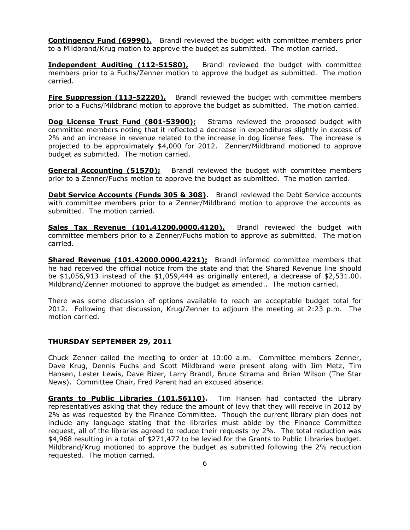**Contingency Fund (69990),** Brandl reviewed the budget with committee members prior to a Mildbrand/Krug motion to approve the budget as submitted. The motion carried.

**Independent Auditing (112-51580),** Brandl reviewed the budget with committee members prior to a Fuchs/Zenner motion to approve the budget as submitted. The motion carried.

**Fire Suppression (113-52220)**, Brandl reviewed the budget with committee members prior to a Fuchs/Mildbrand motion to approve the budget as submitted. The motion carried.

**Dog License Trust Fund (801-53900);** Strama reviewed the proposed budget with committee members noting that it reflected a decrease in expenditures slightly in excess of 2% and an increase in revenue related to the increase in dog license fees. The increase is projected to be approximately \$4,000 for 2012. Zenner/Mildbrand motioned to approve budget as submitted. The motion carried.

**General Accounting (51570);** Brandl reviewed the budget with committee members prior to a Zenner/Fuchs motion to approve the budget as submitted. The motion carried.

**Debt Service Accounts (Funds 305 & 308).** Brandl reviewed the Debt Service accounts with committee members prior to a Zenner/Mildbrand motion to approve the accounts as submitted. The motion carried.

**Sales Tax Revenue (101.41200.0000.4120).** Brandl reviewed the budget with committee members prior to a Zenner/Fuchs motion to approve as submitted. The motion carried.

**Shared Revenue (101.42000.0000.4221);** Brandl informed committee members that he had received the official notice from the state and that the Shared Revenue line should be \$1,056,913 instead of the \$1,059,444 as originally entered, a decrease of \$2,531.00. Mildbrand/Zenner motioned to approve the budget as amended.. The motion carried.

There was some discussion of options available to reach an acceptable budget total for 2012. Following that discussion, Krug/Zenner to adjourn the meeting at 2:23 p.m. The motion carried.

#### **THURSDAY SEPTEMBER 29, 2011**

Chuck Zenner called the meeting to order at 10:00 a.m. Committee members Zenner, Dave Krug, Dennis Fuchs and Scott Mildbrand were present along with Jim Metz, Tim Hansen, Lester Lewis, Dave Bizer, Larry Brandl, Bruce Strama and Brian Wilson (The Star News). Committee Chair, Fred Parent had an excused absence.

**Grants to Public Libraries (101.56110).** Tim Hansen had contacted the Library representatives asking that they reduce the amount of levy that they will receive in 2012 by 2% as was requested by the Finance Committee. Though the current library plan does not include any language stating that the libraries must abide by the Finance Committee request, all of the libraries agreed to reduce their requests by 2%. The total reduction was \$4,968 resulting in a total of \$271,477 to be levied for the Grants to Public Libraries budget. Mildbrand/Krug motioned to approve the budget as submitted following the 2% reduction requested. The motion carried.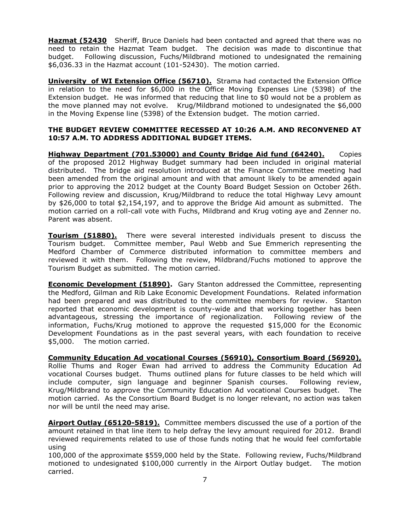**Hazmat (52430** Sheriff, Bruce Daniels had been contacted and agreed that there was no need to retain the Hazmat Team budget. The decision was made to discontinue that budget. Following discussion, Fuchs/Mildbrand motioned to undesignated the remaining \$6,036.33 in the Hazmat account (101-52430). The motion carried.

**University of WI Extension Office (56710).** Strama had contacted the Extension Office in relation to the need for \$6,000 in the Office Moving Expenses Line (5398) of the Extension budget. He was informed that reducing that line to \$0 would not be a problem as the move planned may not evolve. Krug/Mildbrand motioned to undesignated the \$6,000 in the Moving Expense line (5398) of the Extension budget. The motion carried.

## **THE BUDGET REVIEW COMMITTEE RECESSED AT 10:26 A.M. AND RECONVENED AT 10:57 A.M. TO ADDRESS ADDITIONAL BUDGET ITEMS.**

**Highway Department (701.53000) and County Bridge Aid fund (64240).** Copies of the proposed 2012 Highway Budget summary had been included in original material distributed. The bridge aid resolution introduced at the Finance Committee meeting had been amended from the original amount and with that amount likely to be amended again prior to approving the 2012 budget at the County Board Budget Session on October 26th. Following review and discussion, Krug/Mildbrand to reduce the total Highway Levy amount by \$26,000 to total \$2,154,197, and to approve the Bridge Aid amount as submitted. The motion carried on a roll-call vote with Fuchs, Mildbrand and Krug voting aye and Zenner no. Parent was absent.

**Tourism (51880).** There were several interested individuals present to discuss the Tourism budget. Committee member, Paul Webb and Sue Emmerich representing the Medford Chamber of Commerce distributed information to committee members and reviewed it with them. Following the review, Mildbrand/Fuchs motioned to approve the Tourism Budget as submitted. The motion carried.

**Economic Development (51890).** Gary Stanton addressed the Committee, representing the Medford, Gilman and Rib Lake Economic Development Foundations. Related information had been prepared and was distributed to the committee members for review. Stanton reported that economic development is county-wide and that working together has been advantageous, stressing the importance of regionalization. Following review of the information, Fuchs/Krug motioned to approve the requested \$15,000 for the Economic Development Foundations as in the past several years, with each foundation to receive \$5,000. The motion carried.

**Community Education Ad vocational Courses (56910), Consortium Board (56920),** Rollie Thums and Roger Ewan had arrived to address the Community Education Ad vocational Courses budget. Thums outlined plans for future classes to be held which will include computer, sign language and beginner Spanish courses. Following review, Krug/Mildbrand to approve the Community Education Ad vocational Courses budget. The motion carried. As the Consortium Board Budget is no longer relevant, no action was taken nor will be until the need may arise.

**Airport Outlay (65120-5819).** Committee members discussed the use of a portion of the amount retained in that line item to help defray the levy amount required for 2012. Brandl reviewed requirements related to use of those funds noting that he would feel comfortable using

100,000 of the approximate \$559,000 held by the State. Following review, Fuchs/Mildbrand motioned to undesignated \$100,000 currently in the Airport Outlay budget. The motion carried.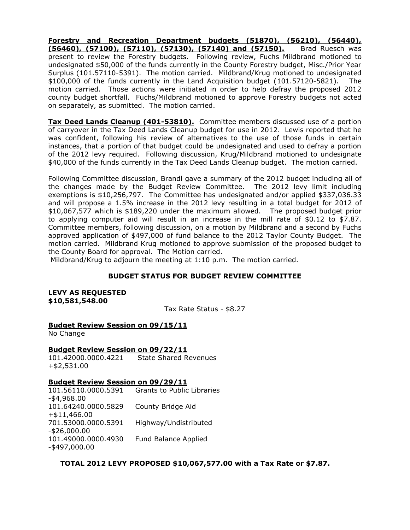**Forestry and Recreation Department budgets (51870), (56210), (56440), (56460), (57100), (57110), (57130), (57140) and (57150).** Brad Ruesch was present to review the Forestry budgets. Following review, Fuchs Mildbrand motioned to undesignated \$50,000 of the funds currently in the County Forestry budget, Misc./Prior Year Surplus (101.57110-5391). The motion carried. Mildbrand/Krug motioned to undesignated \$100,000 of the funds currently in the Land Acquisition budget (101.57120-5821). The motion carried. Those actions were initiated in order to help defray the proposed 2012 county budget shortfall. Fuchs/Mildbrand motioned to approve Forestry budgets not acted on separately, as submitted. The motion carried.

**Tax Deed Lands Cleanup (401-53810).** Committee members discussed use of a portion of carryover in the Tax Deed Lands Cleanup budget for use in 2012. Lewis reported that he was confident, following his review of alternatives to the use of those funds in certain instances, that a portion of that budget could be undesignated and used to defray a portion of the 2012 levy required. Following discussion, Krug/Mildbrand motioned to undesignate \$40,000 of the funds currently in the Tax Deed Lands Cleanup budget. The motion carried.

Following Committee discussion, Brandl gave a summary of the 2012 budget including all of the changes made by the Budget Review Committee. The 2012 levy limit including exemptions is \$10,256,797. The Committee has undesignated and/or applied \$337,036.33 and will propose a 1.5% increase in the 2012 levy resulting in a total budget for 2012 of \$10,067,577 which is \$189,220 under the maximum allowed. The proposed budget prior to applying computer aid will result in an increase in the mill rate of  $$0.12$  to  $$7.87$ . Committee members, following discussion, on a motion by Mildbrand and a second by Fuchs approved application of \$497,000 of fund balance to the 2012 Taylor County Budget. The motion carried. Mildbrand Krug motioned to approve submission of the proposed budget to the County Board for approval. The Motion carried.

Mildbrand/Krug to adjourn the meeting at 1:10 p.m. The motion carried.

# **BUDGET STATUS FOR BUDGET REVIEW COMMITTEE**

**LEVY AS REQUESTED \$10,581,548.00**

Tax Rate Status - \$8.27

# **Budget Review Session on 09/15/11**

No Change

#### **Budget Review Session on 09/22/11**

101.42000.0000.4221 State Shared Revenues +\$2,531.00

## **Budget Review Session on 09/29/11**

101.56110.0000.5391 Grants to Public Libraries -\$4,968.00 101.64240.0000.5829 County Bridge Aid +\$11,466.00 701.53000.0000.5391 Highway/Undistributed -\$26,000.00 101.49000.0000.4930 Fund Balance Applied -\$497,000.00

**TOTAL 2012 LEVY PROPOSED \$10,067,577.00 with a Tax Rate or \$7.87.**